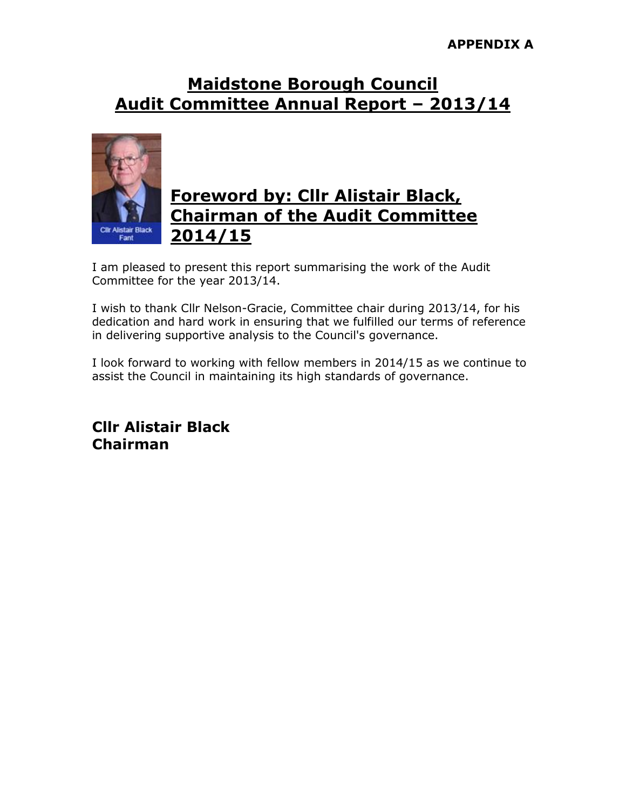#### **APPENDIX A**

#### **Maidstone Borough Council Audit Committee Annual Report – 2013/14**



#### **Foreword by: Cllr Alistair Black, Chairman of the Audit Committee 2014/15**

I am pleased to present this report summarising the work of the Audit Committee for the year 2013/14.

I wish to thank Cllr Nelson-Gracie, Committee chair during 2013/14, for his dedication and hard work in ensuring that we fulfilled our terms of reference in delivering supportive analysis to the Council's governance.

I look forward to working with fellow members in 2014/15 as we continue to assist the Council in maintaining its high standards of governance.

**Cllr Alistair Black Chairman**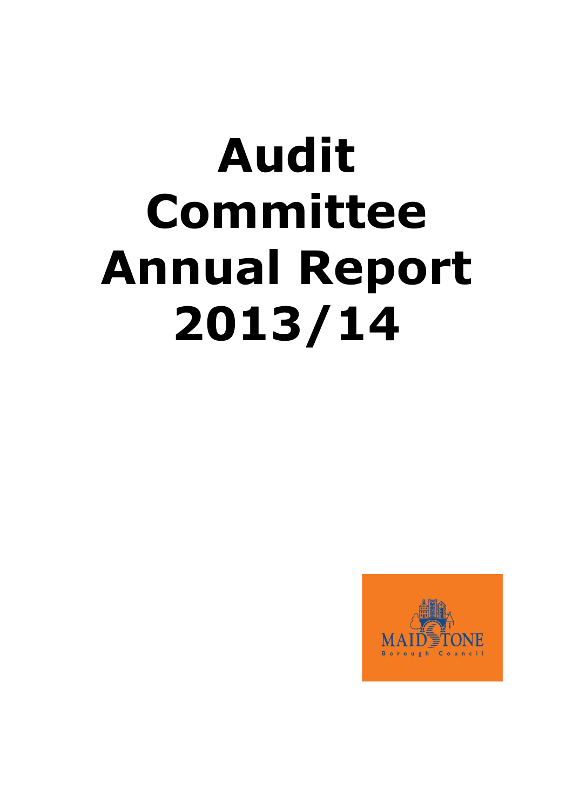# **Audit Committee Annual Report 2013/14**

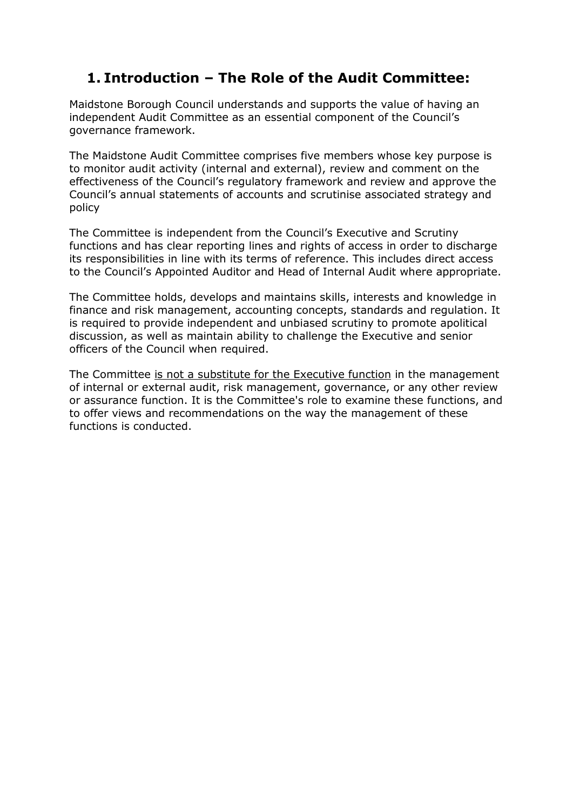#### **1. Introduction – The Role of the Audit Committee:**

Maidstone Borough Council understands and supports the value of having an independent Audit Committee as an essential component of the Council's governance framework.

The Maidstone Audit Committee comprises five members whose key purpose is to monitor audit activity (internal and external), review and comment on the effectiveness of the Council's regulatory framework and review and approve the Council's annual statements of accounts and scrutinise associated strategy and policy

The Committee is independent from the Council's Executive and Scrutiny functions and has clear reporting lines and rights of access in order to discharge its responsibilities in line with its terms of reference. This includes direct access to the Council's Appointed Auditor and Head of Internal Audit where appropriate.

The Committee holds, develops and maintains skills, interests and knowledge in finance and risk management, accounting concepts, standards and regulation. It is required to provide independent and unbiased scrutiny to promote apolitical discussion, as well as maintain ability to challenge the Executive and senior officers of the Council when required.

The Committee is not a substitute for the Executive function in the management of internal or external audit, risk management, governance, or any other review or assurance function. It is the Committee's role to examine these functions, and to offer views and recommendations on the way the management of these functions is conducted.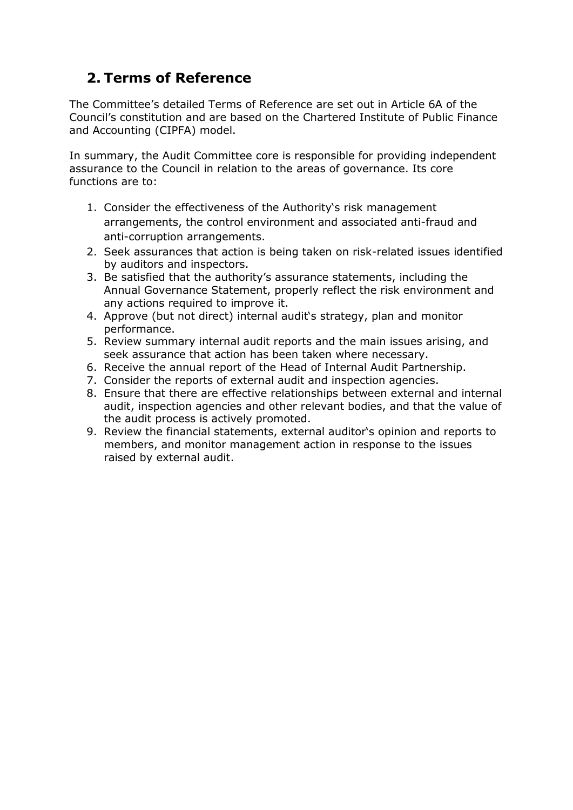#### **2. Terms of Reference**

The Committee's detailed Terms of Reference are set out in Article 6A of the Council's constitution and are based on the Chartered Institute of Public Finance and Accounting (CIPFA) model.

In summary, the Audit Committee core is responsible for providing independent assurance to the Council in relation to the areas of governance. Its core functions are to:

- 1. Consider the effectiveness of the Authority's risk management arrangements, the control environment and associated anti-fraud and anti-corruption arrangements.
- 2. Seek assurances that action is being taken on risk-related issues identified by auditors and inspectors.
- 3. Be satisfied that the authority's assurance statements, including the Annual Governance Statement, properly reflect the risk environment and any actions required to improve it.
- 4. Approve (but not direct) internal audit's strategy, plan and monitor performance.
- 5. Review summary internal audit reports and the main issues arising, and seek assurance that action has been taken where necessary.
- 6. Receive the annual report of the Head of Internal Audit Partnership.
- 7. Consider the reports of external audit and inspection agencies.
- 8. Ensure that there are effective relationships between external and internal audit, inspection agencies and other relevant bodies, and that the value of the audit process is actively promoted.
- 9. Review the financial statements, external auditor's opinion and reports to members, and monitor management action in response to the issues raised by external audit.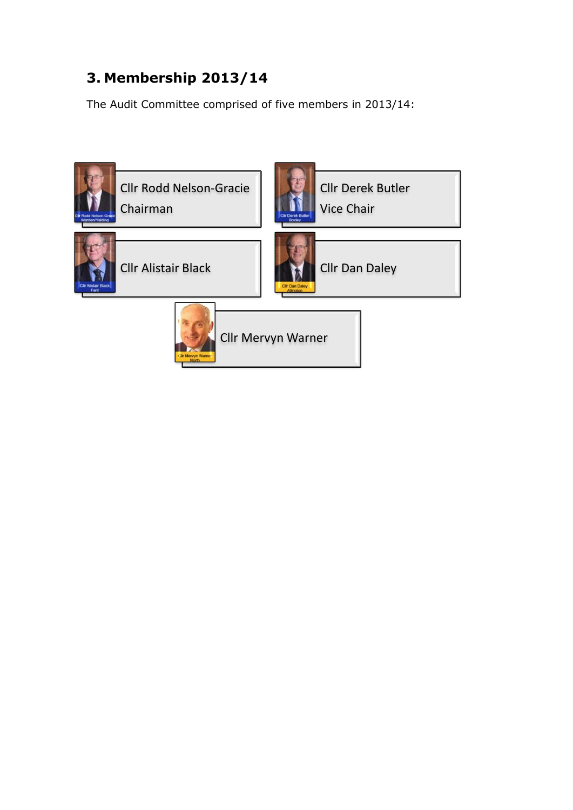### **3. Membership 2013/14**

The Audit Committee comprised of five members in 2013/14:

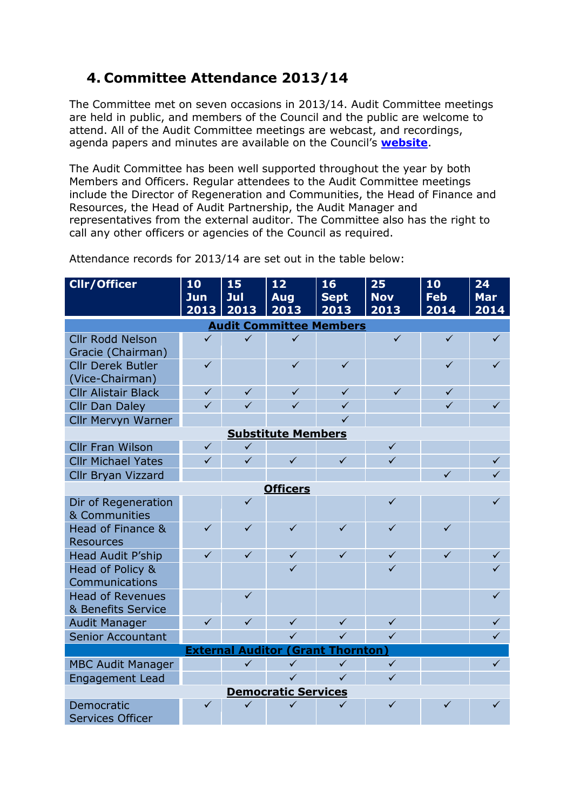#### **4. Committee Attendance 2013/14**

The Committee met on seven occasions in 2013/14. Audit Committee meetings are held in public, and members of the Council and the public are welcome to attend. All of the Audit Committee meetings are webcast, and recordings, agenda papers and minutes are available on the Council's **[website](http://services.maidstone.gov.uk/ieListMeetings.aspx?CId=147&Year=0)**.

The Audit Committee has been well supported throughout the year by both Members and Officers. Regular attendees to the Audit Committee meetings include the Director of Regeneration and Communities, the Head of Finance and Resources, the Head of Audit Partnership, the Audit Manager and representatives from the external auditor. The Committee also has the right to call any other officers or agencies of the Council as required.

| <b>Cllr/Officer</b>                                      | 10<br>Jun    | 15<br>Jul    | 12<br><b>Aug</b> | 16<br><b>Sept</b> | 25<br><b>Nov</b> | 10<br><b>Feb</b> | 24<br><b>Mar</b>             |  |  |
|----------------------------------------------------------|--------------|--------------|------------------|-------------------|------------------|------------------|------------------------------|--|--|
|                                                          | 2013         | 2013         | 2013             | 2013              | 2013             | 2014             | 2014                         |  |  |
| <b>Audit Committee Members</b>                           |              |              |                  |                   |                  |                  |                              |  |  |
| <b>Cllr Rodd Nelson</b>                                  | $\checkmark$ | $\checkmark$ | $\checkmark$     |                   | $\checkmark$     | $\checkmark$     | $\checkmark$                 |  |  |
| Gracie (Chairman)                                        |              |              |                  |                   |                  |                  |                              |  |  |
| <b>Cllr Derek Butler</b>                                 | $\checkmark$ |              | $\checkmark$     | $\checkmark$      |                  | $\checkmark$     | $\checkmark$                 |  |  |
| (Vice-Chairman)                                          |              |              |                  |                   |                  |                  |                              |  |  |
| <b>Cllr Alistair Black</b>                               | $\checkmark$ | $\checkmark$ | $\checkmark$     | $\checkmark$      | $\checkmark$     | $\checkmark$     |                              |  |  |
| <b>Cllr Dan Daley</b>                                    | $\checkmark$ | $\checkmark$ | $\checkmark$     | $\checkmark$      |                  | $\checkmark$     | $\checkmark$                 |  |  |
| <b>Cllr Mervyn Warner</b>                                |              |              |                  | $\checkmark$      |                  |                  |                              |  |  |
| <b>Substitute Members</b>                                |              |              |                  |                   |                  |                  |                              |  |  |
| <b>Cllr Fran Wilson</b>                                  | $\checkmark$ | $\checkmark$ |                  |                   | $\checkmark$     |                  |                              |  |  |
| <b>Cllr Michael Yates</b>                                | $\checkmark$ | $\checkmark$ | $\checkmark$     | $\checkmark$      | $\checkmark$     |                  | $\checkmark$                 |  |  |
| <b>Cllr Bryan Vizzard</b>                                |              |              |                  |                   |                  | $\checkmark$     | $\checkmark$                 |  |  |
| <b>Officers</b>                                          |              |              |                  |                   |                  |                  |                              |  |  |
| Dir of Regeneration                                      |              | $\checkmark$ |                  |                   | $\checkmark$     |                  | $\checkmark$                 |  |  |
| & Communities                                            |              |              |                  |                   |                  |                  |                              |  |  |
| Head of Finance &                                        | $\checkmark$ | $\checkmark$ | $\checkmark$     | $\checkmark$      | $\checkmark$     | $\checkmark$     |                              |  |  |
| <b>Resources</b>                                         | $\checkmark$ | $\checkmark$ | $\checkmark$     | $\checkmark$      | $\checkmark$     | $\checkmark$     |                              |  |  |
| Head Audit P'ship                                        |              |              | $\checkmark$     |                   | $\checkmark$     |                  | $\checkmark$<br>$\checkmark$ |  |  |
| Head of Policy &<br>Communications                       |              |              |                  |                   |                  |                  |                              |  |  |
| <b>Head of Revenues</b>                                  |              | $\checkmark$ |                  |                   |                  |                  | $\checkmark$                 |  |  |
| & Benefits Service                                       |              |              |                  |                   |                  |                  |                              |  |  |
| <b>Audit Manager</b>                                     | $\checkmark$ | $\checkmark$ | $\checkmark$     | $\checkmark$      | $\checkmark$     |                  | $\checkmark$                 |  |  |
| <b>Senior Accountant</b>                                 |              |              | $\checkmark$     | $\checkmark$      | $\checkmark$     |                  | $\checkmark$                 |  |  |
| <b>External</b><br><b>Auditor</b><br>(Grant<br>Thornton) |              |              |                  |                   |                  |                  |                              |  |  |
| <b>MBC Audit Manager</b>                                 |              | $\checkmark$ | $\checkmark$     | $\checkmark$      | $\checkmark$     |                  | $\checkmark$                 |  |  |
| <b>Engagement Lead</b>                                   |              |              | $\checkmark$     | $\checkmark$      | $\checkmark$     |                  |                              |  |  |
| <b>Democratic Services</b>                               |              |              |                  |                   |                  |                  |                              |  |  |
| Democratic                                               | $\checkmark$ | ✓            | $\checkmark$     | $\checkmark$      | $\checkmark$     | $\checkmark$     | $\checkmark$                 |  |  |
| <b>Services Officer</b>                                  |              |              |                  |                   |                  |                  |                              |  |  |

Attendance records for 2013/14 are set out in the table below: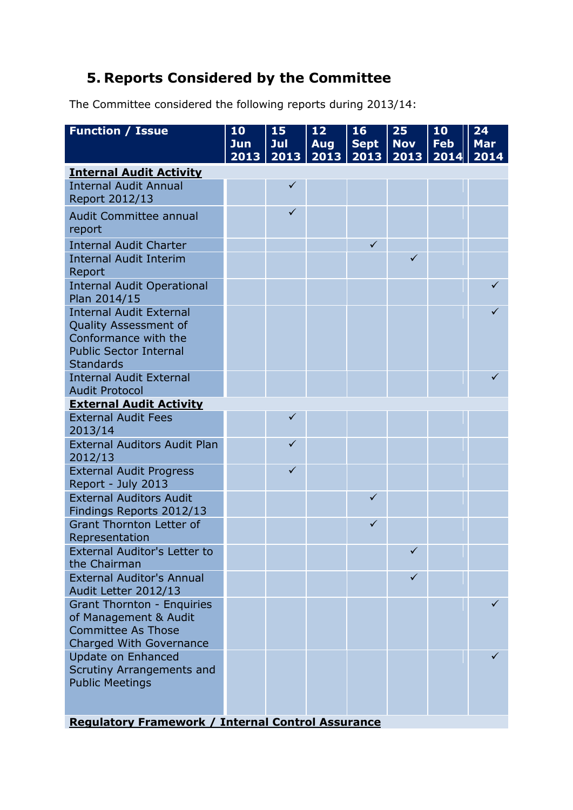#### **5. Reports Considered by the Committee**

The Committee considered the following reports during 2013/14:

| <b>Function / Issue</b>                                   | 10<br>Jun | 15<br>Jul    | 12<br><b>Aug</b> | 16<br><b>Sept</b> | 25<br><b>Nov</b> | 10<br><b>Feb</b> | 24<br><b>Mar</b> |
|-----------------------------------------------------------|-----------|--------------|------------------|-------------------|------------------|------------------|------------------|
| <b>Internal Audit Activity</b>                            | 2013      | 2013         | 2013             | 2013              | 2013             | 2014             | 2014             |
| <b>Internal Audit Annual</b>                              |           | $\checkmark$ |                  |                   |                  |                  |                  |
| Report 2012/13                                            |           |              |                  |                   |                  |                  |                  |
| <b>Audit Committee annual</b>                             |           | $\checkmark$ |                  |                   |                  |                  |                  |
| report                                                    |           |              |                  |                   |                  |                  |                  |
| <b>Internal Audit Charter</b>                             |           |              |                  | $\checkmark$      |                  |                  |                  |
| <b>Internal Audit Interim</b><br>Report                   |           |              |                  |                   | $\checkmark$     |                  |                  |
| <b>Internal Audit Operational</b><br>Plan 2014/15         |           |              |                  |                   |                  |                  | ✓                |
| <b>Internal Audit External</b>                            |           |              |                  |                   |                  |                  |                  |
| Quality Assessment of<br>Conformance with the             |           |              |                  |                   |                  |                  |                  |
| <b>Public Sector Internal</b>                             |           |              |                  |                   |                  |                  |                  |
| <b>Standards</b>                                          |           |              |                  |                   |                  |                  |                  |
| <b>Internal Audit External</b>                            |           |              |                  |                   |                  |                  | ✓                |
| <b>Audit Protocol</b>                                     |           |              |                  |                   |                  |                  |                  |
| <b>External Audit Activity</b>                            |           |              |                  |                   |                  |                  |                  |
| <b>External Audit Fees</b><br>2013/14                     |           | ✓            |                  |                   |                  |                  |                  |
| <b>External Auditors Audit Plan</b>                       |           | $\checkmark$ |                  |                   |                  |                  |                  |
| 2012/13                                                   |           |              |                  |                   |                  |                  |                  |
| <b>External Audit Progress</b>                            |           | $\checkmark$ |                  |                   |                  |                  |                  |
| Report - July 2013<br><b>External Auditors Audit</b>      |           |              |                  | $\checkmark$      |                  |                  |                  |
| Findings Reports 2012/13                                  |           |              |                  |                   |                  |                  |                  |
| <b>Grant Thornton Letter of</b>                           |           |              |                  | $\checkmark$      |                  |                  |                  |
| Representation                                            |           |              |                  |                   |                  |                  |                  |
| External Auditor's Letter to                              |           |              |                  |                   | $\checkmark$     |                  |                  |
| the Chairman                                              |           |              |                  |                   |                  |                  |                  |
| <b>External Auditor's Annual</b>                          |           |              |                  |                   | ✓                |                  |                  |
| Audit Letter 2012/13<br><b>Grant Thornton - Enquiries</b> |           |              |                  |                   |                  |                  | ✓                |
| of Management & Audit                                     |           |              |                  |                   |                  |                  |                  |
| <b>Committee As Those</b>                                 |           |              |                  |                   |                  |                  |                  |
| Charged With Governance                                   |           |              |                  |                   |                  |                  |                  |
| <b>Update on Enhanced</b>                                 |           |              |                  |                   |                  |                  | ✓                |
| <b>Scrutiny Arrangements and</b>                          |           |              |                  |                   |                  |                  |                  |
| <b>Public Meetings</b>                                    |           |              |                  |                   |                  |                  |                  |
|                                                           |           |              |                  |                   |                  |                  |                  |
| <b>Regulatory Framework / Internal Control Assurance</b>  |           |              |                  |                   |                  |                  |                  |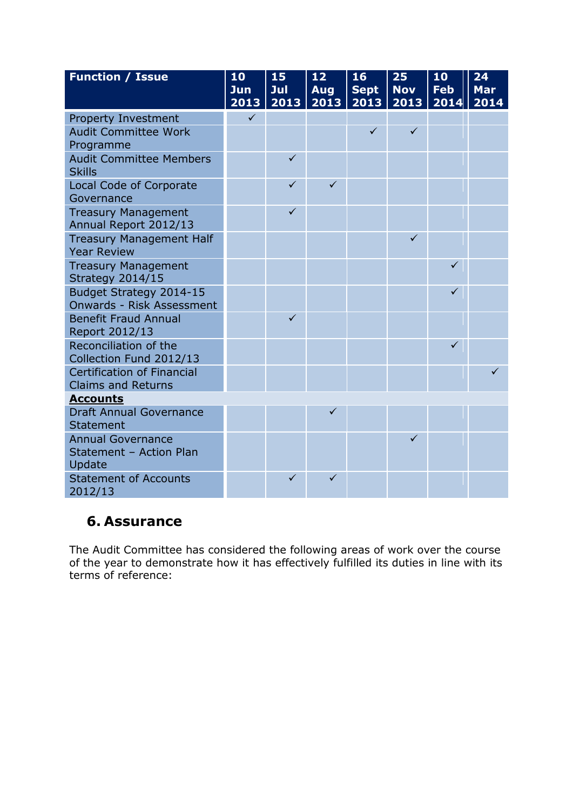| <b>Function / Issue</b>                                     | 10<br>Jun<br>2013 | 15<br>Jul<br>2013 | 12<br><b>Aug</b><br>2013 | 16<br><b>Sept</b><br>2013 | 25<br><b>Nov</b><br>2013 | 10<br><b>Feb</b><br>2014 | 24<br><b>Mar</b><br>2014 |
|-------------------------------------------------------------|-------------------|-------------------|--------------------------|---------------------------|--------------------------|--------------------------|--------------------------|
| <b>Property Investment</b>                                  | $\checkmark$      |                   |                          |                           |                          |                          |                          |
| <b>Audit Committee Work</b>                                 |                   |                   |                          | $\checkmark$              | $\checkmark$             |                          |                          |
| Programme                                                   |                   |                   |                          |                           |                          |                          |                          |
| <b>Audit Committee Members</b><br><b>Skills</b>             |                   | $\checkmark$      |                          |                           |                          |                          |                          |
| <b>Local Code of Corporate</b><br>Governance                |                   | $\checkmark$      | $\checkmark$             |                           |                          |                          |                          |
| <b>Treasury Management</b>                                  |                   | $\checkmark$      |                          |                           |                          |                          |                          |
| Annual Report 2012/13                                       |                   |                   |                          |                           |                          |                          |                          |
| <b>Treasury Management Half</b>                             |                   |                   |                          |                           | $\checkmark$             |                          |                          |
| <b>Year Review</b>                                          |                   |                   |                          |                           |                          |                          |                          |
| <b>Treasury Management</b>                                  |                   |                   |                          |                           |                          | ✓                        |                          |
| Strategy 2014/15                                            |                   |                   |                          |                           |                          |                          |                          |
| Budget Strategy 2014-15<br><b>Onwards - Risk Assessment</b> |                   |                   |                          |                           |                          | ✓                        |                          |
| <b>Benefit Fraud Annual</b>                                 |                   | $\checkmark$      |                          |                           |                          |                          |                          |
| Report 2012/13                                              |                   |                   |                          |                           |                          |                          |                          |
| Reconciliation of the                                       |                   |                   |                          |                           |                          | ✓                        |                          |
| Collection Fund 2012/13                                     |                   |                   |                          |                           |                          |                          |                          |
| <b>Certification of Financial</b>                           |                   |                   |                          |                           |                          |                          | ✓                        |
| <b>Claims and Returns</b>                                   |                   |                   |                          |                           |                          |                          |                          |
| <b>Accounts</b>                                             |                   |                   |                          |                           |                          |                          |                          |
| <b>Draft Annual Governance</b>                              |                   |                   | ✓                        |                           |                          |                          |                          |
| <b>Statement</b>                                            |                   |                   |                          |                           |                          |                          |                          |
| <b>Annual Governance</b>                                    |                   |                   |                          |                           | $\checkmark$             |                          |                          |
| Statement - Action Plan                                     |                   |                   |                          |                           |                          |                          |                          |
| Update                                                      |                   |                   |                          |                           |                          |                          |                          |
| <b>Statement of Accounts</b><br>2012/13                     |                   | $\checkmark$      | ✓                        |                           |                          |                          |                          |

#### **6. Assurance**

The Audit Committee has considered the following areas of work over the course of the year to demonstrate how it has effectively fulfilled its duties in line with its terms of reference: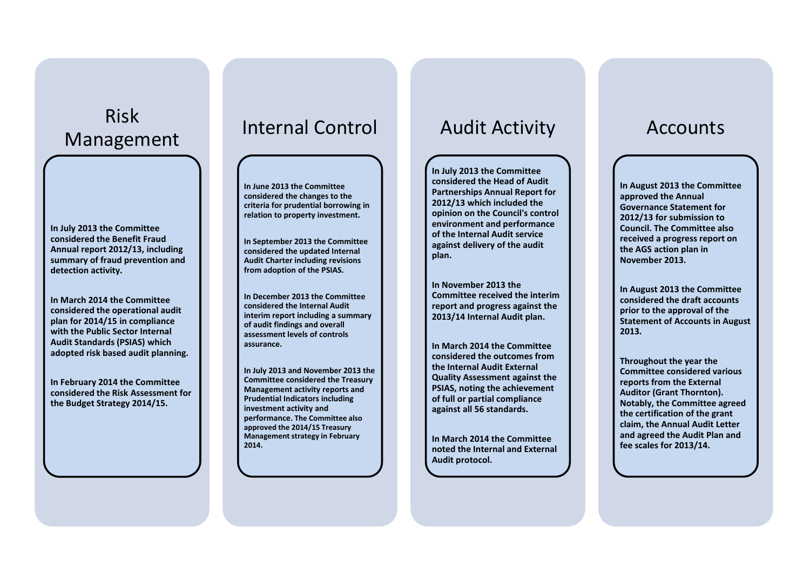## Risk Management

**In July 2013 the Committee considered the Benefit Fraud Annual report 2012/13, including summary of fraud prevention and detection activity.** 

**In March 2014 the Committee considered the operational audit plan for 2014/15 in compliance with the Public Sector Internal Audit Standards (PSIAS) which adopted risk based audit planning.**

**In February 2014 the Committee considered the Risk Assessment for the Budget Strategy 2014/15.**

## Internal Control

**In June 2013 the Committee considered the changes to the criteria for prudential borrowing in relation to property investment.**

**In September 2013 the Committee considered the updated Internal Audit Charter including revisions from adoption of the PSIAS.**

**In December 2013 the Committee considered the Internal Audit interim report including a summary of audit findings and overall assessment levels of controls assurance.** 

**In July 2013 and November 2013 the Committee considered the Treasury Management activity reports and Prudential Indicators including investment activity and performance. The Committee also approved the 2014/15 Treasury Management strategy in February 2014.**

## Audit Activity

**In July 2013 the Committee considered the Head of Audit Partnerships Annual Report for 2012/13 which included the opinion on the Council's control environment and performance of the Internal Audit service against delivery of the audit plan.** 

**In November 2013 the Committee received the interim report and progress against the 2013/14 Internal Audit plan.**

**In March 2014 the Committee considered the outcomes from the Internal Audit External Quality Assessment against the PSIAS, noting the achievement of full or partial compliance against all 56 standards.** 

**In March 2014 the Committee noted the Internal and External Audit protocol.**

## Accounts

**In August 2013 the Committee approved the Annual Governance Statement for 2012/13 for submission to Council. The Committee also received a progress report on the AGS action plan in November 2013.** 

**In August 2013 the Committee considered the draft accounts prior to the approval of the Statement of Accounts in August 2013.** 

**Throughout the year the Committee considered various reports from the External Auditor (Grant Thornton). Notably, the Committee agreed the certification of the grant claim, the Annual Audit Letter and agreed the Audit Plan and fee scales for 2013/14.**